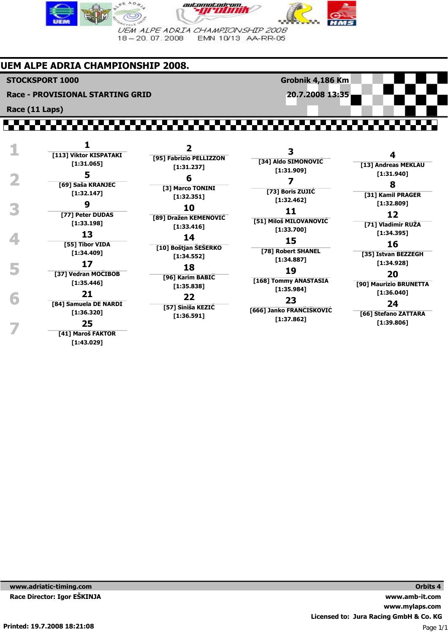

## **UEM ALPE ADRIA CHAMPIONSHIP 2008.**

**STOCKSPORT 1000**

**Race (11 Laps)**

**Race - PROVISIONAL STARTING GRID**

**20.7.2008 13:35**

**Grobnik 4,186 Km**

|    | [113] Viktor KISPATAKI<br>[1:31.065]                                                                                                                          | [95] Fabrizio PELLIZZON<br>[1:31.237]                                                                                                                            | 3<br>[34] Aldo SIMONOVIĆ                                                                                                                                                    | [13] Andreas MI                                                                                                                                                                                               |
|----|---------------------------------------------------------------------------------------------------------------------------------------------------------------|------------------------------------------------------------------------------------------------------------------------------------------------------------------|-----------------------------------------------------------------------------------------------------------------------------------------------------------------------------|---------------------------------------------------------------------------------------------------------------------------------------------------------------------------------------------------------------|
|    | 5<br>[69] Saša KRANJEC<br>[1:32.147]<br>9<br>[77] Peter DUDAS<br>[1:33.198]<br>13<br>[55] Tibor VIDA<br>[1:34.409]<br>17<br>[37] Vedran MOCIBOB<br>[1:35.446] | 6<br>[3] Marco TONINI<br>[1:32.351]<br>10                                                                                                                        | [1:31.909]<br>[73] Boris ZUJIC<br>[1:32.462]<br>11                                                                                                                          | [1:31.940]<br>8<br>[31] Kamil PRA<br>[1:32.809]<br>12<br>[71] Vladimir F<br>[1:34.395]<br>16<br>[35] Istvan BEZ<br>[1:34.928]<br>20<br>[90] Maurizio BRI<br>[1:36.040]<br>24<br>[66] Stefano ZA<br>[1:39.806] |
|    |                                                                                                                                                               | [89] Dražen KEMENOVIĆ<br>[1:33.416]<br>14<br>[10] Boštjan SESERKO<br>[1:34.552]<br>18<br>[96] Karim BABIC<br>[1:35.838]<br>22<br>[57] Siniša KEZIC<br>[1:36.591] | [51] Miloš MILOVANOVIĆ<br>[1:33.700]<br>15<br>[78] Robert SHANEL<br>[1:34.887]<br>19<br>[168] Tommy ANASTASIA<br>[1:35.984]<br>23<br>[666] Janko FRANČIŠKOVIĆ<br>[1:37.862] |                                                                                                                                                                                                               |
| 'n | 21<br>[84] Samuela DE NARDI<br>[1:36.320]<br>25<br>[41] Maroš FAKTOR<br>[1:43.029]                                                                            |                                                                                                                                                                  |                                                                                                                                                                             |                                                                                                                                                                                                               |

**[71] Vladimir RUŽA 16 [35] Istvan BEZZEGH 20**

**[90] Maurizio BRUNETTA**

**4 [13] Andreas MEKLAU**

**8 [31] Kamil PRAGER**

**[66] Stefano ZATTARA**

**www.adriatic-timing.com Race Director: Igor EŠKINJA**